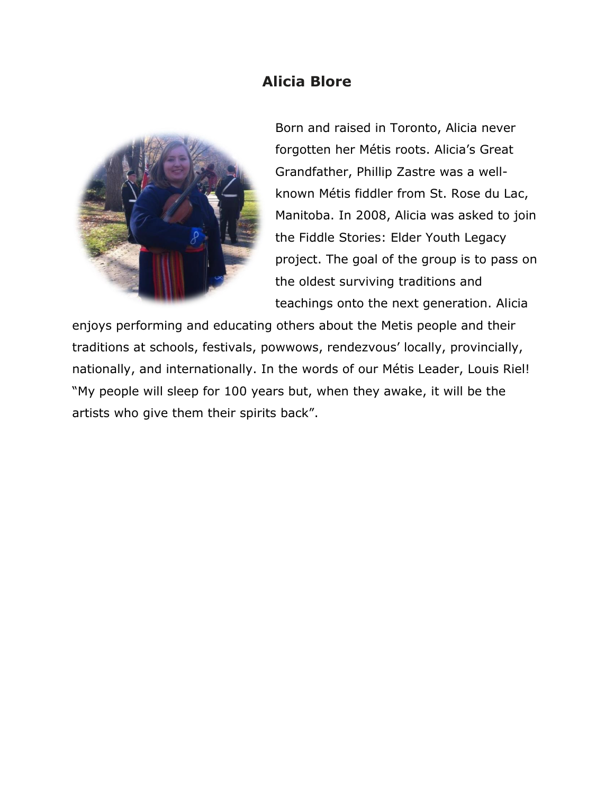## **Alicia Blore**



Born and raised in Toronto, Alicia never forgotten her Métis roots. Alicia's Great Grandfather, Phillip Zastre was a wellknown Métis fiddler from St. Rose du Lac, Manitoba. In 2008, Alicia was asked to join the Fiddle Stories: Elder Youth Legacy project. The goal of the group is to pass on the oldest surviving traditions and teachings onto the next generation. Alicia

enjoys performing and educating others about the Metis people and their traditions at schools, festivals, powwows, rendezvous' locally, provincially, nationally, and internationally. In the words of our Métis Leader, Louis Riel! "My people will sleep for 100 years but, when they awake, it will be the artists who give them their spirits back".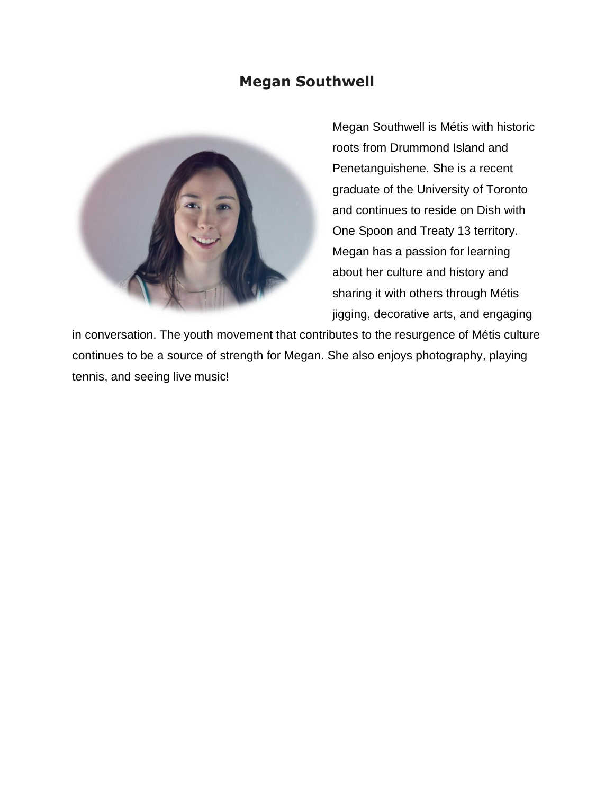## **Megan Southwell**



Megan Southwell is Métis with historic roots from Drummond Island and Penetanguishene. She is a recent graduate of the University of Toronto and continues to reside on Dish with One Spoon and Treaty 13 territory. Megan has a passion for learning about her culture and history and sharing it with others through Métis jigging, decorative arts, and engaging

in conversation. The youth movement that contributes to the resurgence of Métis culture continues to be a source of strength for Megan. She also enjoys photography, playing tennis, and seeing live music!